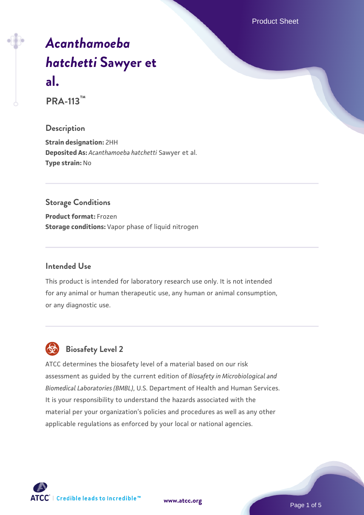Product Sheet

# *[Acanthamoeba](https://www.atcc.org/products/pra-113) [hatchetti](https://www.atcc.org/products/pra-113)* **[Sawyer et](https://www.atcc.org/products/pra-113) [al.](https://www.atcc.org/products/pra-113)**

**PRA-113™**

#### **Description**

**Strain designation:** 2HH **Deposited As:** *Acanthamoeba hatchetti* Sawyer et al. **Type strain:** No

#### **Storage Conditions**

**Product format:** Frozen **Storage conditions:** Vapor phase of liquid nitrogen

#### **Intended Use**

This product is intended for laboratory research use only. It is not intended for any animal or human therapeutic use, any human or animal consumption, or any diagnostic use.



### **Biosafety Level 2**

ATCC determines the biosafety level of a material based on our risk assessment as guided by the current edition of *Biosafety in Microbiological and Biomedical Laboratories (BMBL)*, U.S. Department of Health and Human Services. It is your responsibility to understand the hazards associated with the material per your organization's policies and procedures as well as any other applicable regulations as enforced by your local or national agencies.

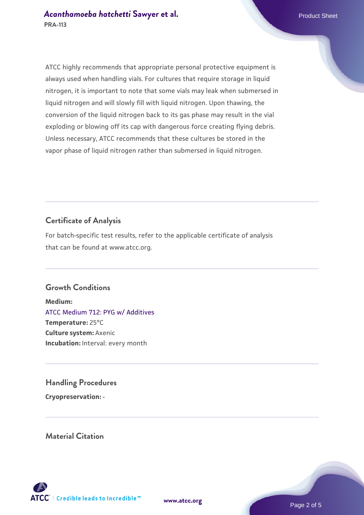ATCC highly recommends that appropriate personal protective equipment is always used when handling vials. For cultures that require storage in liquid nitrogen, it is important to note that some vials may leak when submersed in liquid nitrogen and will slowly fill with liquid nitrogen. Upon thawing, the conversion of the liquid nitrogen back to its gas phase may result in the vial exploding or blowing off its cap with dangerous force creating flying debris. Unless necessary, ATCC recommends that these cultures be stored in the vapor phase of liquid nitrogen rather than submersed in liquid nitrogen.

#### **Certificate of Analysis**

For batch-specific test results, refer to the applicable certificate of analysis that can be found at www.atcc.org.

#### **Growth Conditions**

**Medium:**  [ATCC Medium 712: PYG w/ Additives](https://www.atcc.org/-/media/product-assets/documents/microbial-media-formulations/7/1/2/atcc-medium-712.pdf?rev=7a3975f3ced8477999762ca76164fb74) **Temperature:** 25°C **Culture system:** Axenic **Incubation:** Interval: every month

#### **Handling Procedures**

**Cryopreservation:** -

**Material Citation**

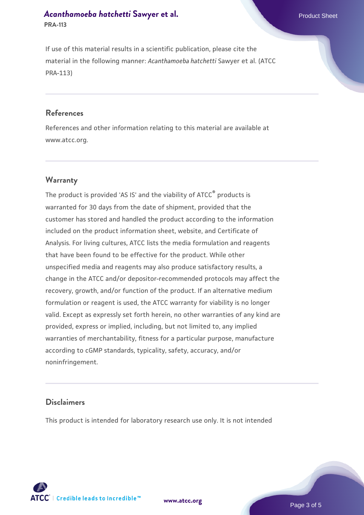# *[Acanthamoeba hatchetti](https://www.atcc.org/products/pra-113)* **[Sawyer et al.](https://www.atcc.org/products/pra-113)** Product Sheet

**PRA-113**

If use of this material results in a scientific publication, please cite the material in the following manner: *Acanthamoeba hatchetti* Sawyer et al. (ATCC PRA-113)

#### **References**

References and other information relating to this material are available at www.atcc.org.

#### **Warranty**

The product is provided 'AS IS' and the viability of ATCC<sup>®</sup> products is warranted for 30 days from the date of shipment, provided that the customer has stored and handled the product according to the information included on the product information sheet, website, and Certificate of Analysis. For living cultures, ATCC lists the media formulation and reagents that have been found to be effective for the product. While other unspecified media and reagents may also produce satisfactory results, a change in the ATCC and/or depositor-recommended protocols may affect the recovery, growth, and/or function of the product. If an alternative medium formulation or reagent is used, the ATCC warranty for viability is no longer valid. Except as expressly set forth herein, no other warranties of any kind are provided, express or implied, including, but not limited to, any implied warranties of merchantability, fitness for a particular purpose, manufacture according to cGMP standards, typicality, safety, accuracy, and/or noninfringement.

#### **Disclaimers**

This product is intended for laboratory research use only. It is not intended



**[www.atcc.org](http://www.atcc.org)**

Page 3 of 5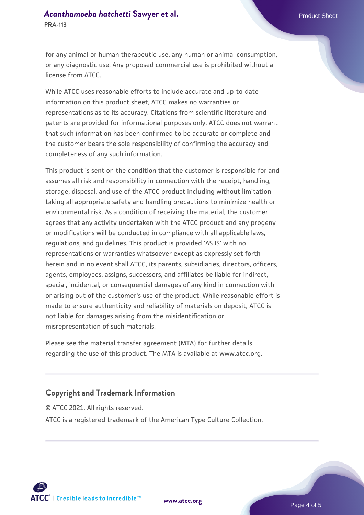# *[Acanthamoeba hatchetti](https://www.atcc.org/products/pra-113)* **[Sawyer et al.](https://www.atcc.org/products/pra-113)** Product Sheet

for any animal or human therapeutic use, any human or animal consumption, or any diagnostic use. Any proposed commercial use is prohibited without a license from ATCC.

While ATCC uses reasonable efforts to include accurate and up-to-date information on this product sheet, ATCC makes no warranties or representations as to its accuracy. Citations from scientific literature and patents are provided for informational purposes only. ATCC does not warrant that such information has been confirmed to be accurate or complete and the customer bears the sole responsibility of confirming the accuracy and completeness of any such information.

This product is sent on the condition that the customer is responsible for and assumes all risk and responsibility in connection with the receipt, handling, storage, disposal, and use of the ATCC product including without limitation taking all appropriate safety and handling precautions to minimize health or environmental risk. As a condition of receiving the material, the customer agrees that any activity undertaken with the ATCC product and any progeny or modifications will be conducted in compliance with all applicable laws, regulations, and guidelines. This product is provided 'AS IS' with no representations or warranties whatsoever except as expressly set forth herein and in no event shall ATCC, its parents, subsidiaries, directors, officers, agents, employees, assigns, successors, and affiliates be liable for indirect, special, incidental, or consequential damages of any kind in connection with or arising out of the customer's use of the product. While reasonable effort is made to ensure authenticity and reliability of materials on deposit, ATCC is not liable for damages arising from the misidentification or misrepresentation of such materials.

Please see the material transfer agreement (MTA) for further details regarding the use of this product. The MTA is available at www.atcc.org.

#### **Copyright and Trademark Information**

© ATCC 2021. All rights reserved. ATCC is a registered trademark of the American Type Culture Collection.